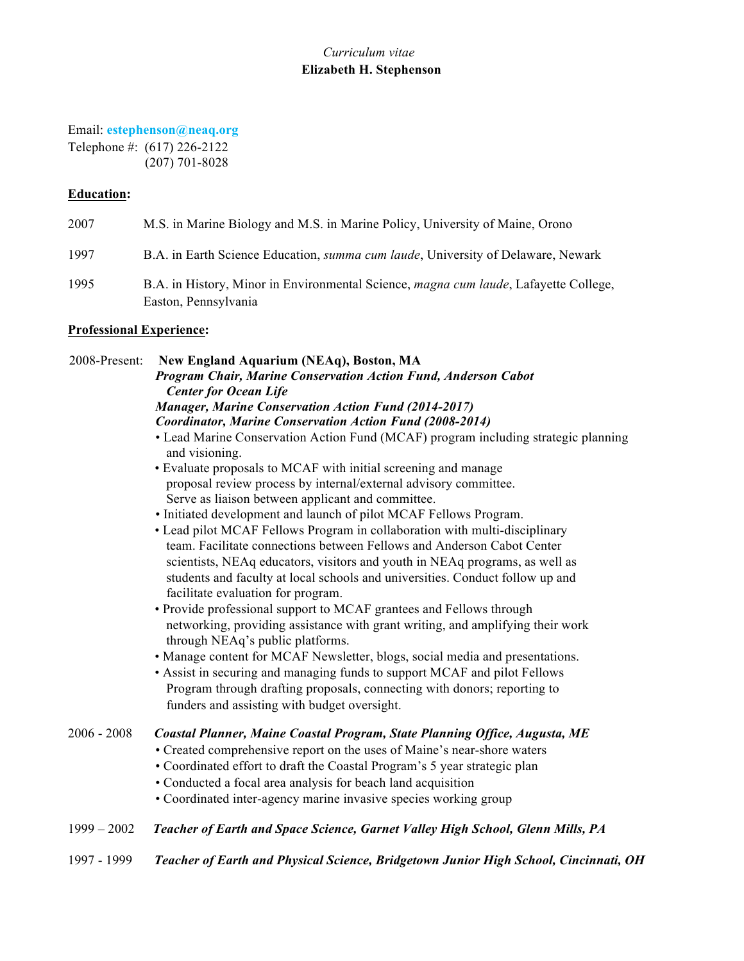# *Curriculum vitae*  **Elizabeth H. Stephenson**

Email: **estephenson@neaq.org** Telephone #: (617) 226-2122 (207) 701-8028

## **Education:**

| 2007 | M.S. in Marine Biology and M.S. in Marine Policy, University of Maine, Orono                                         |
|------|----------------------------------------------------------------------------------------------------------------------|
| 1997 | B.A. in Earth Science Education, <i>summa cum laude</i> , University of Delaware, Newark                             |
| 1995 | B.A. in History, Minor in Environmental Science, <i>magna cum laude</i> , Lafayette College,<br>Easton, Pennsylvania |

## **Professional Experience:**

2008-Present: **New England Aquarium (NEAq), Boston, MA** *Program Chair, Marine Conservation Action Fund, Anderson Cabot Center for Ocean Life Manager, Marine Conservation Action Fund (2014-2017) Coordinator, Marine Conservation Action Fund (2008-2014)* • Lead Marine Conservation Action Fund (MCAF) program including strategic planning and visioning. • Evaluate proposals to MCAF with initial screening and manage proposal review process by internal/external advisory committee. Serve as liaison between applicant and committee. • Initiated development and launch of pilot MCAF Fellows Program. • Lead pilot MCAF Fellows Program in collaboration with multi-disciplinary team. Facilitate connections between Fellows and Anderson Cabot Center scientists, NEAq educators, visitors and youth in NEAq programs, as well as students and faculty at local schools and universities. Conduct follow up and facilitate evaluation for program. • Provide professional support to MCAF grantees and Fellows through networking, providing assistance with grant writing, and amplifying their work through NEAq's public platforms. • Manage content for MCAF Newsletter, blogs, social media and presentations. • Assist in securing and managing funds to support MCAF and pilot Fellows

Program through drafting proposals, connecting with donors; reporting to funders and assisting with budget oversight.

#### 2006 - 2008 *Coastal Planner, Maine Coastal Program, State Planning Office, Augusta, ME* • Created comprehensive report on the uses of Maine's near-shore waters

- 
- Coordinated effort to draft the Coastal Program's 5 year strategic plan
- Conducted a focal area analysis for beach land acquisition
- Coordinated inter-agency marine invasive species working group
- 1999 2002 *Teacher of Earth and Space Science, Garnet Valley High School, Glenn Mills, PA*
- 1997 1999 *Teacher of Earth and Physical Science, Bridgetown Junior High School, Cincinnati, OH*